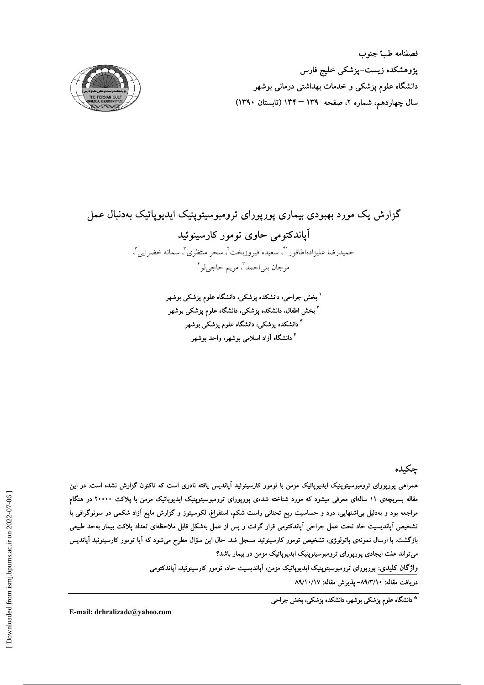فصلنامه طب جنوب پژوهشکده زیست–پزشکی خلیج فارس دانشگاه علوم پزشکی و خدمات بهداشتی درمانی بوشهر سال چهاردهم، شماره ۲، صفحه ۱۳۹ – ۱۳۴ (تابستان ۱۳۹۰)



# گزارش یک مورد بهبودی بیماری پورپورای ترومبوسیتوپنیک ایدیوپاتیک بهدنبال عمل آياندکتومي حاوي تومور کارسينوئيد حميدرضا عليزادهاطاقورا"ً، سعيده فيروزبخت'ً، سحر منتظري"ً، سمانه خضرايي". مرجان بني|حمد"، مريم حاجي لو "

<sup>ا</sup> بخش جراحی، دانشکده پزشکی، دانشگاه علوم پزشکی بوشهر <sup>۲</sup> بخش اطفال، دانشکده پزشکی، دانشگاه علوم پزشکی بوشهر <sup>۳</sup> دانشکده پزشکی، دانشگاه علوم پزشکی بوشهر <sup>۴</sup> دانشگاه آزاد اسلامی بوشهر، واحد بوشهر

# چکىدە

همراهی یوریورای ترومبوسیتوینیک ایدیویاتیک مزمن با تومور کارسینوئید آیاندیس یافته نادری است که تاکنون گزارش نشده است. در این مقاله پسربچهی ۱۱ سالهای معرفی میشود که مورد شناخته شدهی پورپورای ترومبوسیتوپنیک ایدیوپاتیک مزمن با پلاکت ۲۰۰۰۰ در هنگام مراجعه بود و بهدلیل بی|شتهایی، درد و حساسیت ربع تحتانی راست شکم، استفراغ، لکوسیتوز و گزارش مایع آزاد شکمی در سونوگرافی با تشخیص آپاندیسیت حاد تحت عمل جراحی آپاندکتومی قرار گرفت و پس از عمل بهشکل قابل ملاحظهای تعداد پلاکت بیمار بهحد طبیعی بازگشت. با ارسال نمونهی پاتولوژی، تشخیص تومور کارسینوئید مسجل شد. حال این سؤال مطرح میشود که آیا تومور کارسینوئید آپاندیس میتواند علت ایجادی پورپورای ترومبوسیتوپنیک ایدیوپاتیک مزمن در بیمار باشد؟

واژگان کلیدی: پورپورای ترومبوسیتوپنیک ایدیوپاتیک مزمن، آپاندیسیت حاد، تومور کارسینوئید، آپاندکتومی

دريافت مقاله: ٨٩/٣/١٠- يذيرش مقاله: ٨٩/١٠/١٧

\* دانشگاه علوم پزشکی بوشهر، دانشکده بزشکی، بخش جراح<sub>ه،</sub>

E-mail: drhralizade@yahoo.com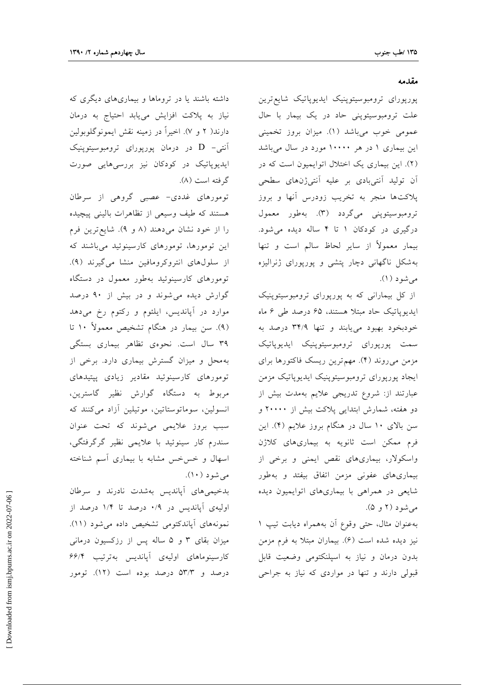#### مقدمه

پورپورای ترومبوسیتوپنیک ایدیوپاتیک شایع ترین علت ترومبوسیتوپنی حاد در یک بیمار با حال عمومی خوب میباشد (۱). میزان بروز تخمینی این بیماری ۱ در هر ۱۰۰۰۰ مورد در سال میباشد (۲). این بیماری یک اختلال اتوایمیون است که در آن تولید آنتیبادی بر علیه آنتیژنهای سطحی پلاکتها منجر به تخریب زودرس آنها و بروز ترومبوسیتوپنی میگردد (۳). بهطور معمول درگیری در کودکان ۱ تا ۴ ساله دیده می شود. بیمار معمولاً از سایر لحاظ سالم است و تنها بهشکل ناگهانی دچار پتشی و پورپورای ژنرالیزه مىشود (١).

از کل بیمارانی که به پورپورای ترومبوسیتوپنیک ایدیوپاتیک حاد مبتلا هستند، ۶۵ درصد طی ۶ ماه خودبخود بهبود مىيابند وتنها ٣۴/٩ درصد به سمت پورپورای ترومبوسیتوپنیک ایدیوپاتیک مزمن میروند (۴). مهم ترین ریسک فاکتورها برای ايجاد پورپورای ترومبوسيتوپنيک ايديوپاتيک مزمن عبارتند از: شروع تدریجی علایم بهمدت بیش از دو هفته، شمارش ابتدایی پلاکت بیش از ۲۰۰۰۰ و سن بالای ۱۰ سال در هنگام بروز علایم (۴). این فرم ممکن است ثانویه به بیماریهای کلاژن واسکولار، بیماریهای نقص ایمنی و برخی از بیماریهای عفونی مزمن اتفاق بیفتد و بهطور شایعی در همراهی با بیماریهای اتوایمیون دیده می شود (۲ و ۵).

به عنوان مثال، حتى وقوع أن به همراه ديابت تيپ ١ نیز دیده شده است (۶). بیماران مبتلا به فرم مزمن بدون درمان و نیاز به اسپلنکتومی وضعیت قابل قبولي دارند و تنها در مواردي كه نياز به جراحي

داشته باشند یا در تروماها و بیماری های دیگری که نیاز به پلاکت افزایش مییابد احتیاج به درمان دارند( ۲ و ۷). اخیراً در زمینه نقش ایمونوگلوبولین آنتی- D در درمان یوریورای ترومبوسیتوپنیک ایدیوپاتیک در کودکان نیز بررسی هایی صورت گرفته است (۸).

تومورهای غددی- عصبی گروهی از سرطان هستند که طیف وسیعی از تظاهرات بالینی پیچیده را از خود نشان می دهند (۸ و ۹). شایع ترین فرم این تومورها، تومورهای کارسینوئید میباشند که از سلولهای انتروکرومافین منشا می گیرند (۹). تومورهای کارسینوئید بهطور معمول در دستگاه گوارش دیده می شوند و در بیش از ۹۰ درصد موارد در آپاندیس، ایلئوم و رکتوم رخ میدهد (۹). سن بیمار در هنگام تشخیص معمولاً ۱۰ تا ۳۹ سال است. نحوهي تظاهر بيماري بستگي به محل و میزان گسترش بیماری دارد. برخی از تومورهای کارسینوئید مقادیر زیادی پپتیدهای مربوط به دستگاه گوارش نظیر گاسترین، انسولین، سوماتوستاتین، موتیلین آزاد می کنند که سبب بروز علایمی می شوند که تحت عنوان سندرم کار سینوئید با علایمی نظیر گرگرفتگی، اسهال و خسخس مشابه با بیماری آسم شناخته مې شود (۱۰).

بدخیمیهای آپاندیس بهشدت نادرند و سرطان اولیهی آپاندیس در ۰/۹ درصد تا ۱/۴ درصد از نمونههای آپاندکتومی تشخیص داده می شود (١١). میزان بقای ۳ و ۵ ساله پس از رزکسیون درمانی کارسینوماهای اولیهی آپاندیس بهترتیب ۶۶/۴ درصد و ۵۳/۳ درصد بوده است (۱۲). تومور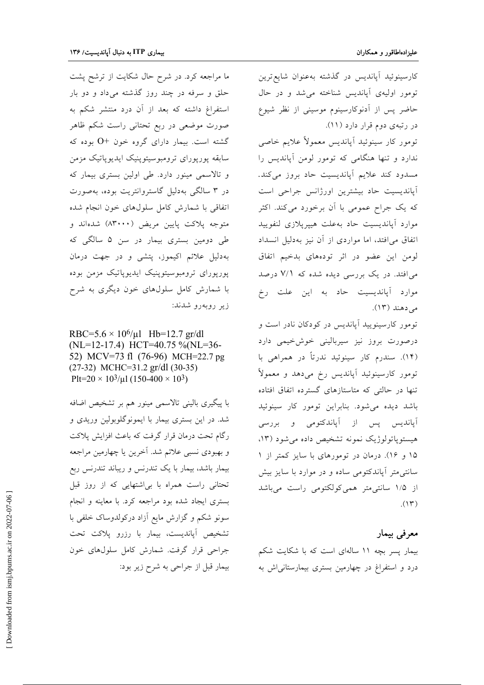ما مراجعه کرد. در شرح حال شکایت از ترشح پشت حلق و سرفه در چند روز گذشته میداد و دو بار استفراغ داشته که بعد از آن درد منتشر شکم به صورت موضعی در ربع تحتانی راست شکم ظاهر گشته است. بیمار دارای گروه خون +0 بوده که سابقه پورپورای ترومبوسیتوپنیک ایدیوپاتیک مزمن و تالاسمی مینور دارد. طی اولین بستری بیمار که در ۳ سالگی بهدلیل گاستروانتریت بوده، بهصورت اتفاقی با شمارش کامل سلولهای خون انجام شده متوجه پلاکت پایین مریض (۸۳۰۰۰) شدهاند و طی دومین بستری بیمار در سن ۵ سالگی که بهدلیل علائم اکیموز، پتشی و در جهت درمان پورپورای ترومبوسیتوپنیک ایدیوپاتیک مزمن بوده با شمارش کامل سلولهای خون دیگری به شرح زير روبەرو شدند:

RBC=5.6  $\times$  10<sup>6</sup>/µl Hb=12.7 gr/dl (NL=12-17.4) HCT=40.75 %(NL=36-52) MCV=73 fl (76-96) MCH=22.7 pg  $(27-32)$  MCHC=31.2 gr/dl  $(30-35)$ Plt=20  $\times$  10<sup>3</sup>/µl (150-400  $\times$  10<sup>3</sup>)

با پیگیری بالینی تالاسمی مینور هم بر تشخیص اضافه شد. در این بستری بیمار با ایمونوگلوبولین وریدی و رگام تحت درمان قرار گرفت که باعث افزایش پلاکت و بهبودی نسبی علائم شد. آخرین یا چهارمین مراجعه بیمار باشد، بیمار با یک تندرنس و ریباند تندرنس ربع تحتانی راست همراه با بی اشتهایی که از روز قبل بستری ایجاد شده بود مراجعه کرد. با معاینه و انجام سونو شکم و گزارش مایع آزاد درکولدوساک خلفی با تشخیص آپاندیست، بیمار با رزرو پلاکت تحت جراحي قرار گرفت. شمارش كامل سلولهاي خون بیمار قبل از جراحی به شرح زیر بود:

كارسينوئيد آپانديس در گذشته بهعنوان شايع ترين تومور اوليهي أيانديس شناخته مي شد و در حال حاضر پس از آدنوکارسینوم موسینی از نظر شیوع در رتبهی دوم قرار دارد (۱۱). تومور کار سینوئید أیاندیس معمولاً علایم خاصی ندارد و تنها هنگامی که تومور لومن آپاندیس را مسدود كند علايم أيانديسيت حاد بروز مى كند. آپاندیسیت حاد بیشترین اورژانس جراحی است

که یک جراح عمومی با آن برخورد می کند. اکثر موارد آپاندیسیت حاد بهعلت هیپرپلازی لنفویید اتفاق می افتد، اما مواردی از آن نیز بهدلیل انسداد لومن این عضو در اثر تودههای بدخیم اتفاق می افتد. در یک بررسی دیده شده که ۷/۱ درصد موارد آپاندیسیت حاد به این علت رخ می دهند (۱۳).

تومور کارسینویید آپاندیس در کودکان نادر است و درصورت بروز نیز سیربالینی خوشخیمی دارد (۱۴). سندرم کار سینوئید ندرتاً در همراهی با تومور كارسينوئيد أپانديس رخ مىدهد و معمولاً تنها در حالتی که متاستازهای گسترده اتفاق افتاده باشد دیده می شود. بنابراین تومور کار سینوئید آپاندیس پس از آپاندکتومی و بررسی هیستوپاتولوژیک نمونه تشخیص داده می شود (۱۳، ۱۵ و ۱۶). درمان در تومورهای با سایز کمتر از ۱ سانتی متر آپاندکتومی ساده و در موارد با سایز بیش از ۱/۵ سانتی متر همی کولکتومی راست میباشد  $(11)$ 

## معرفي بيمار

بیمار پسر بچه ١١ سالهای است که با شکایت شکم درد و استفراغ در چهارمین بستری بیمارستانی اش به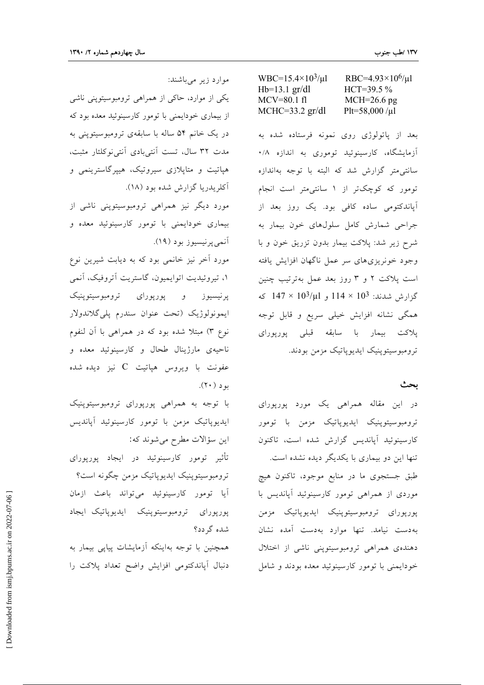| WBC= $15.4 \times 10^3/\mu$ l | RBC=4.93×10 <sup>6</sup> / $\mu$ l |
|-------------------------------|------------------------------------|
| $Hb=13.1$ gr/dl               | $HCT=39.5\%$                       |
| $MCV=80.1 \text{ fl}$         | $MCH=26.6$ pg                      |
| $MCHC = 33.2$ gr/dl           | Plt=58,000/ $\mu$ l                |

بعد از پاتولوژی روی نمونه فرستاده شده به آزمایشگاه، کارسینوئید توموری به اندازه ۰/۸ سانتی متر گزارش شد که البته با توجه بهاندازه تومور که کوچکتر از ۱ سانتی متر است انجام آپاندکتومی ساده کافی بود. یک روز بعد از جراحی شمارش کامل سلولهای خون بیمار به شرح زیر شد: پلاکت بیمار بدون تزریق خون و با وجود خونريزى هاى سر عمل ناگهان افزايش يافته است پلاکت ۲ و ۳ روز بعد عمل بهترتیب چنین گزارش شدند: 10<sup>3</sup> × 114 و 10<sup>3</sup>/µl كه همگی نشانه افزایش خیلی سریع و قابل توجه پلاکت بیمار با سابقه قبلی پورپورای ترومبوسيتوپنيک ايديوپاتيک مزمن بودند.

#### بحث

در این مقاله همراهی یک مورد پورپورای ترومبوسیتوپنیک ایدیوپاتیک مزمن با تومور كارسينوئيد آيانديس گزارش شده است، تاكنون تنها این دو بیماری با یکدیگر دیده نشده است. طبق جستجوي ما در منابع موجود، تاكنون هيچ موردی از همراهی تومور کارسینوئید آپاندیس با پورپورای ترومبوسیتوپنیک ایدیوپاتیک مزمن بهدست نيامد. تنها موارد بهدست آمده نشان دهندهی همراهی ترومبوسیتوینی ناشی از اختلال خودایمنی با تومور کارسینوئید معده بودند و شامل

موارد زیر میباشند:

یکی از موارد، حاکی از همراهی ترومبوسیتوپنی ناشی از بیماری خودایمنی با تومور کارسینوئید معده بود که در یک خانم ۵۴ ساله با سابقهی ترومبوسیتوینی به مدت ٣٢ سال، تست آنتي بادي آنتي نوكلئار مثبت، هپاتیت و متاپلازی سیروتیک، هیپرگاسترینمی و آکلريدريا گزارش شده بود (١٨).

مورد دیگر نیز همراهی ترومبوسیتوپنی ناشی از بیماری خودایمنی با تومور کارسینوئید معده و أنمي پرنيسيوز بود (١٩).

مورد آخر نیز خانمی بود که به دیابت شیرین نوع ١، تيروئيديت اتوايميون، گاستريت آتروفيک، آنمي پرنیسیوز و پورپورای ترومبوسیتوپنیک ايمونولوژيک (تحت عنوان سندرم پليگلاندولار نوع ٣) مبتلاً شده بود كه در همراهي با آن لنفوم ناحیهی مارژینال طحال و کارسینوئید معده و عفونت با ویروس هپاتیت  $\rm C$  نیز دیده شده بو د (۲۰).

با توجه به همراهی پورپورای ترومبوسیتوپنیک ايديوپاتيک مزمن با تومور کارسينوئيد آپانديس اين سؤالات مطرح مي شوند كه:

تأثیر تومور کارسینوئید در ایجاد پورپورای ترومبوسيتوينيک ايديوياتيک مزمن چگونه است؟ آيا تومور كارسينوئيد مي تواند باعث ازمان پورپورای ترومبوسیتوپنیک ایدیویاتیک ایجاد شده گر دد؟

همچنین با توجه بهاینکه آزمایشات پیاپی بیمار به دنبال آپاندکتومی افزایش واضح تعداد پلاکت را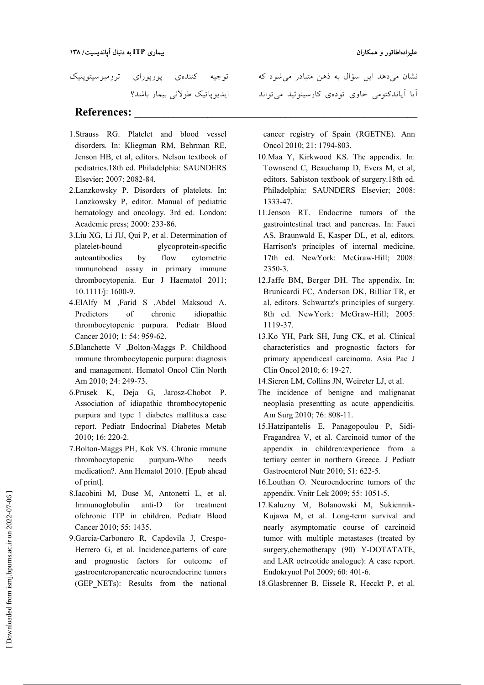توجیه کنندهی پورپورای ترومبوسیتوپنیک ايديوپاتيک طولان<sub>ی</sub> بيمار باشد؟

### $\bf References:$

- 1.Strauss RG. Platelet and blood vessel disorders. In: Kliegman RM, Behrman RE, Jenson HB, et al, editors. Nelson textbook of pediatrics.18th ed. Philadelphia: SAUNDERS Elsevier; 2007: 2082-84.
- 2.Lanzkowsky P. Disorders of platelets. In: Lanzkowsky P, editor. Manual of pediatric hematology and oncology. 3rd ed. London: Academic press; 2000: 233-86.
- 3.Liu XG, Li JU, Qui P, et al. Determination of platelet-bound glycoprotein-specific autoantibodies by flow cytometric immunobead assay in primary immune thrombocytopenia. Eur J Haematol 2011; 10.1111/j: 1600-9.
- 4.ElAlfy M ,Farid S ,Abdel Maksoud A. Predictors of chronic idiopathic thrombocytopenic purpura. Pediatr Blood Cancer 2010; 1: 54: 959-62.
- 5.Blanchette V ,Bolton-Maggs P. Childhood immune thrombocytopenic purpura: diagnosis and management. Hematol Oncol Clin North Am 2010; 24: 249-73.
- 6.Prusek K, Deja G, Jarosz-Chobot P. Association of idiapathic thrombocytopenic purpura and type 1 diabetes mallitus.a case report. Pediatr Endocrinal Diabetes Metab 2010; 16: 220-2.
- 7.Bolton-Maggs PH, Kok VS. Chronic immune thrombocytopenic purpura-Who needs medication?. Ann Hematol 2010. [Epub ahead of print].
- 8.Iacobini M, Duse M, Antonetti L, et al. Immunoglobulin anti-D for treatment ofchronic ITP in children. Pediatr Blood Cancer 2010; 55: 1435.
- 9.Garcia-Carbonero R, Capdevila J, Crespo-Herrero G, et al. Incidence,patterns of care and prognostic factors for outcome of gastroenteropancreatic neuroendocrine tumors (GEP NETs): Results from the national

نشان میدهد این سؤال به ذهن متبادر میشود که ایا اپاندکتومی حاوی تودهی کارسینوئید میتواند

cancer registry of Spain (RGETNE). Ann Oncol 2010; 21: 1794-803.

- 10.Maa Y, Kirkwood KS. The appendix. In: Townsend C, Beauchamp D, Evers M, et al, editors. Sabiston textbook of surgery.18th ed. Philadelphia: SAUNDERS Elsevier; 2008: 1333-47.
- 11.Jenson RT. Endocrine tumors of the gastrointestinal tract and pancreas. In: Fauci AS, Braunwald E, Kasper DL, et al, editors. Harrison's principles of internal medicine. 17th ed. NewYork: McGraw-Hill; 2008: 2350-3.
- 12.Jaffe BM, Berger DH. The appendix. In: Brunicardi FC, Anderson DK, Billiar TR, et al, editors. Schwartz's principles of surgery. 8th ed. NewYork: McGraw-Hill; 2005: 1119-37.
- 13.Ko YH, Park SH, Jung CK, et al. Clinical characteristics and prognostic factors for primary appendiceal carcinoma. Asia Pac J Clin Oncol 2010; 6: 19-27.

14.Sieren LM, Collins JN, Weireter LJ, et al.

- The incidence of benigne and malignanat neoplasia presentting as acute appendicitis. Am Surg 2010; 76: 808-11.
- 15.Hatzipantelis E, Panagopoulou P, Sidi-Fragandrea V, et al. Carcinoid tumor of the appendix in children:experience from a tertiary center in northern Greece. J Pediatr Gastroenterol Nutr 2010; 51: 622-5.
- 16.Louthan O. Neuroendocrine tumors of the appendix. Vnitr Lek 2009; 55: 1051-5.
- 17.Kaluzny M, Bolanowski M, Sukiennik-Kujawa M, et al. Long-term survival and nearly asymptomatic course of carcinoid tumor with multiple metastases (treated by surgery, chemotherapy (90) Y-DOTATATE, and LAR octreotide analogue): A case report. Endokrynol Pol 2009; 60: 401-6.

18.Glasbrenner B, Eissele R, Hecckt P, et al.